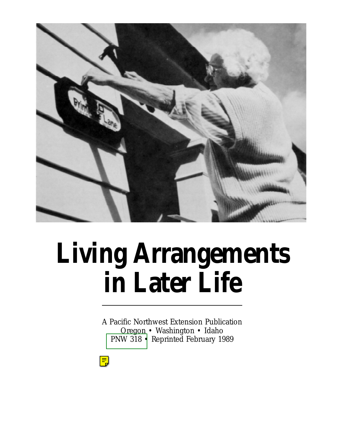

# **Living Arrangements in Later Life**

A Pacific Northwest Extension Publication Oregon • Washington • Idaho [PNW 318 •](http://wwwagcomm.ads.orst.edu/AgComWebFile/EdMat/orderform.html) Reprinted February 1989

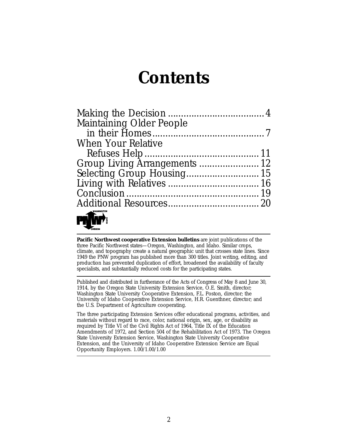### **Contents**

| Maintaining Older People                          |  |
|---------------------------------------------------|--|
|                                                   |  |
| <b>When Your Relative</b>                         |  |
|                                                   |  |
| Group Living Arrangements  12                     |  |
|                                                   |  |
|                                                   |  |
|                                                   |  |
|                                                   |  |
| $\overbrace{\phantom{aaaaa}}^{\text{WASHINGTON}}$ |  |

**Pacific Northwest cooperative Extension bulletins** are joint publications of the three Pacific Northwest states—Oregon, Washington, and Idaho. Similar crops, climate, and topography create a natural geographic unit that crosses state lines. Since 1949 the PNW program has published more than 300 titles. Joint writing, editing, and production has prevented duplication of effort, broadened the availability of faculty specialists, and substantially reduced costs for the participating states.

Published and distributed in furtherance of the Acts of Congress of May 8 and June 30, 1914, by the Oregon State University Extension Service, O.E. Smith, director; Washington State University Cooperative Extension, F.L. Poston, director; the University of Idaho Cooperative Extension Service, H.R. Guenthner, director; and the U.S. Department of Agriculture cooperating.

The three participating Extension Services offer educational programs, activities, and materials without regard to race, color, national origin, sex, age, or disability as required by Title VI of the Civil Rights Act of 1964, Title IX of the Education Amendments of 1972, and Section 504 of the Rehabilitation Act of 1973. The Oregon State University Extension Service, Washington State University Cooperative Extension, and the University of Idaho Cooperative Extension Service are Equal Opportunity Employers. 1.00/1.00/1.00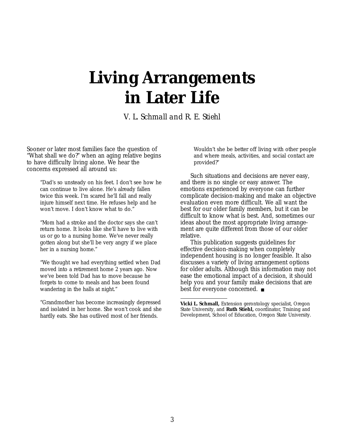# **Living Arrangements in Later Life**

*V. L. Schmall and R. E. Stiehl*

Sooner or later most families face the question of "What shall we do?" when an aging relative begins to have difficulty living alone. We hear the concerns expressed all around us:

"Dad's so unsteady on his feet. I don't see how he can continue to live alone. He's already fallen twice this week. I'm scared he'll fall and really injure himself next time. He refuses help and he won't move. I don't know what to do."

"Mom had a stroke and the doctor says she can't return home. It looks like she'll have to live with us or go to a nursing home. We've never really gotten along but she'll be very angry if we place her in a nursing home."

"We thought we had everything settled when Dad moved into a retirement home 2 years ago. Now we've been told Dad has to move because he forgets to come to meals and has been found wandering in the halls at night."

"Grandmother has become increasingly depressed and isolated in her home. She won't cook and she hardly eats. She has outlived most of her friends.

Wouldn't she be better off living with other people and where meals, activities, and social contact are provided?"

Such situations and decisions are never easy, and there is no single or easy answer. The emotions experienced by everyone can further complicate decision-making and make an objective evaluation even more difficult. We all want the best for our older family members, but it can be difficult to know what is best. And, sometimes our ideas about the most appropriate living arrangement are quite different from those of our older relative.

This publication suggests guidelines for effective decision-making when completely independent housing is no longer feasible. It also discusses a variety of living arrangement options for older adults. Although this information may not ease the emotional impact of a decision, it should help you and your family make decisions that are best for everyone concerned. ■

**Vicki L. Schmall,** Extension gerontology specialist, Oregon State University, and **Ruth Stiehl,** coordinator, Training and Development, School of Education, Oregon State University.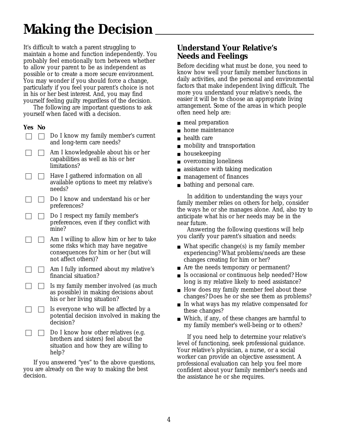# **Making the Decision**

It's difficult to watch a parent struggling to maintain a home and function independently. You probably feel emotionally torn between whether to allow your parent to be as independent as possible or to create a more secure environment. You may wonder if you should force a change, particularly if you feel your parent's choice is not in his or her best interest. And, you may find yourself feeling guilty regardless of the decision.

The following are important questions to ask yourself when faced with a decision.

#### **Yes No**

- Do I know my family member's current  $\mathbf{1}$ and long-term care needs?
	- Am I knowledgeable about his or her  $\Box$ capabilities as well as his or her limitations?
	- $\perp$ Have I gathered information on all available options to meet my relative's needs?
	- Do I know and understand his or her preferences?
	- Do I respect my family member's preferences, even if they conflict with mine?
- Am I willing to allow him or her to take  $\mathbb{R}$ some risks which may have negative consequences for him or her (but will not affect others)?
- Am I fully informed about my relative's financial situation?
- Is my family member involved (as much as possible) in making decisions about his or her living situation?
- Is everyone who will be affected by a potential decision involved in making the decision?
- Do I know how other relatives (e.g.  $\perp$ brothers and sisters) feel about the situation and how they are willing to help?

If you answered "yes" to the above questions, you are already on the way to making the best decision.

### **Understand Your Relative's Needs and Feelings**

Before deciding what must be done, you need to know how well your family member functions in daily activities, and the personal and environmental factors that make independent living difficult. The more you understand your relative's needs, the easier it will be to choose an appropriate living arrangement. Some of the areas in which people often need help are:

- meal preparation
- home maintenance
- health care
- mobility and transportation
- housekeeping
- overcoming loneliness
- assistance with taking medication
- management of finances
- bathing and personal care.

In addition to understanding the ways your family member relies on others for help, consider the ways he or she manages alone. And, also try to anticipate what his or her needs may be in the near future.

Answering the following questions will help you clarify your parent's situation and needs:

- What specific change(s) is my family member experiencing? What problems/needs are these changes creating for him or her?
- Are the needs temporary or permanent?
- Is occasional or continuous help needed? How long is my relative likely to need assistance?
- How does my family member feel about these changes? Does he or she see them as problems?
- In what ways has my relative compensated for these changes?
- Which, if any, of these changes are harmful to my family member's well-being or to others?

If you need help to determine your relative's level of functioning, seek professional guidance. Your relative's physician, a nurse, or a social worker can provide an objective assessment. A professional evaluation can help you feel more confident about your family member's needs and the assistance he or she requires.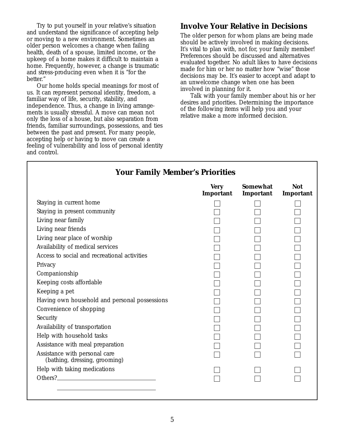Try to put yourself in your relative's situation and understand the significance of accepting help or moving to a new environment. Sometimes an older person welcomes a change when failing health, death of a spouse, limited income, or the upkeep of a home makes it difficult to maintain a home. Frequently, however, a change is traumatic and stress-producing even when it is "for the better."

Our home holds special meanings for most of us. It can represent personal identity, freedom, a familiar way of life, security, stability, and independence. Thus, a change in living arrangements is usually stressful. A move can mean not only the loss of a house, but also separation from friends, familiar surroundings, possessions, and ties between the past and present. For many people, accepting help or having to move can create a feeling of vulnerability and loss of personal identity and control.

### **Involve Your Relative in Decisions**

The older person for whom plans are being made should be actively involved in making decisions. It's vital to plan with, not for, your family member! Preferences should be discussed and alternatives evaluated together. No adult likes to have decisions made for him or her no matter how "wise" those decisions may be. It's easier to accept and adapt to an unwelcome change when one has been involved in planning for it.

Talk with your family member about his or her desires and priorities. Determining the importance of the following items will help you and your relative make a more informed decision.

| <b>Your Family Member's Priorities</b>                         |                          |                              |                         |
|----------------------------------------------------------------|--------------------------|------------------------------|-------------------------|
|                                                                | <b>Very</b><br>Important | <b>Somewhat</b><br>Important | <b>Not</b><br>Important |
| Staying in current home                                        |                          |                              |                         |
| Staying in present community                                   |                          |                              |                         |
| Living near family                                             |                          |                              |                         |
| Living near friends                                            |                          |                              |                         |
| Living near place of worship                                   |                          |                              |                         |
| Availability of medical services                               |                          |                              |                         |
| Access to social and recreational activities                   |                          |                              |                         |
| Privacy                                                        |                          |                              |                         |
| Companionship                                                  |                          |                              |                         |
| Keeping costs affordable                                       |                          |                              |                         |
| Keeping a pet                                                  |                          |                              |                         |
| Having own household and personal possessions                  |                          |                              |                         |
| Convenience of shopping                                        |                          |                              |                         |
| Security                                                       |                          |                              |                         |
| Availability of transportation                                 |                          |                              |                         |
| Help with household tasks                                      |                          |                              |                         |
| Assistance with meal preparation                               |                          |                              |                         |
| Assistance with personal care<br>(bathing, dressing, grooming) |                          |                              |                         |
| Help with taking medications                                   |                          |                              |                         |
|                                                                |                          |                              |                         |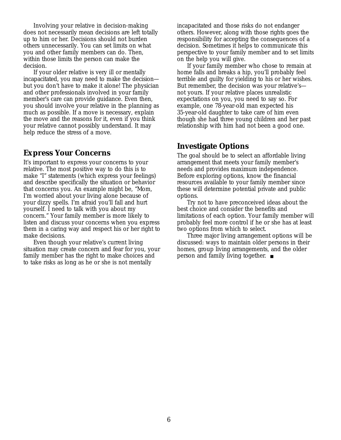Involving your relative in decision-making does not necessarily mean decisions are left totally up to him or her. Decisions should not burden others unnecessarily. You can set limits on what you and other family members can do. Then, within those limits the person can make the decision.

If your older relative is very ill or mentally incapacitated, you may need to make the decision but you don't have to make it alone! The physician and other professionals involved in your family member's care can provide guidance. Even then, you should involve your relative in the planning as much as possible. If a move is necessary, explain the move and the reasons for it, even if you think your relative cannot possibly understand. It may help reduce the stress of a move.

#### **Express Your Concerns**

It's important to express your concerns to your relative. The most positive way to do this is to make "I" statements (which express your feelings) and describe specifically the situation or behavior that concerns you. An example might be, "Mom, I'm worried about your living alone because of your dizzy spells. I'm afraid you'll fall and hurt yourself. I need to talk with you about my concern." Your family member is more likely to listen and discuss your concerns when you express them in a caring way and respect his or her right to make decisions.

Even though your relative's current living situation may create concern and fear for you, your family member has the right to make choices and to take risks as long as he or she is not mentally

incapacitated and those risks do not endanger others. However, along with those rights goes the responsibility for accepting the consequences of a decision. Sometimes it helps to communicate this perspective to your family member and to set limits on the help you will give.

If your family member who chose to remain at home falls and breaks a hip, you'll probably feel terrible and guilty for yielding to his or her wishes. But remember, the decision was your relative's not yours. If your relative places unrealistic expectations on you, you need to say so. For example, one 78-year-old man expected his 35-year-old daughter to take care of him even though she had three young children and her past relationship with him had not been a good one.

### **Investigate Options**

The goal should be to select an affordable living arrangement that meets your family member's needs and provides maximum independence. Before exploring options, know the financial resources available to your family member since these will determine potential private and public options.

Try not to have preconceived ideas about the best choice and consider the benefits and limitations of each option. Your family member will probably feel more control if he or she has at least two options from which to select.

Three major living arrangement options will be discussed: ways to maintain older persons in their homes, group living arrangements, and the older person and family living together. ■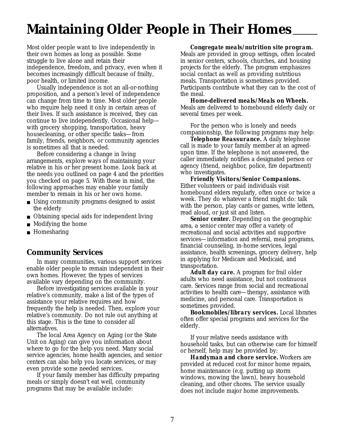### **Maintaining Older People in Their Homes**

Most older people want to live independently in their own homes as long as possible. Some struggle to live alone and retain their independence, freedom, and privacy, even when it becomes increasingly difficult because of frailty, poor health, or limited income.

Usually independence is not an all-or-nothing proposition, and a person's level of independence can change from time to time. Most older people who require help need it only in certain areas of their lives. If such assistance is received, they can continue to live independently. Occasional help with grocery shopping, transportation, heavy housecleaning, or other specific tasks—from family, friends, neighbors, or community agencies is sometimes all that is needed.

Before considering a change in living arrangements, explore ways of maintaining your relative in his or her present home. Look back at the needs you outlined on page 4 and the priorities you checked on page 5. With these in mind, the following approaches may enable your family member to remain in his or her own home.

- Using community programs designed to assist the elderly
- Obtaining special aids for independent living
- Modifying the home
- Homesharing

### **Community Services**

In many communities, various support services enable older people to remain independent in their own homes. However, the types of services available vary depending on the community.

Before investigating services available in your relative's community, make a list of the types of assistance your relative requires and how frequently the help is needed. Then, explore your relative's community. Do not rule out anything at this stage. This is the time to consider all alternatives.

The local Area Agency on Aging (or the State Unit on Aging) can give you information about where to go for the help you need. Many social service agencies, home health agencies, and senior centers can also help you locate services, or may even provide some needed services.

If your family member has difficulty preparing meals or simply doesn't eat well, community programs that may be available include:

#### *Congregate meals/nutrition site program.*

Meals are provided in group settings, often located in senior centers, schools, churches, and housing projects for the elderly. The program emphasizes social contact as well as providing nutritious meals. Transportation is sometimes provided. Participants contribute what they can to the cost of the meal.

*Home-delivered meals/Meals on Wheels.* Meals are delivered to homebound elderly daily or several times per week.

For the person who is lonely and needs companionship, the following programs may help:

*Telephone Reassurance.* A daily telephone call is made to your family member at an agreedupon time. If the telephone is not answered, the caller immediately notifies a designated person or agency (friend, neighbor, police, fire department) who investigates.

*Friendly Visitors/Senior Companions.* Either volunteers or paid individuals visit homebound elders regularly, often once or twice a week. They do whatever a friend might do: talk with the person, play cards or games, write letters, read aloud, or just sit and listen.

*Senior center.* Depending on the geographic area, a senior center may offer a variety of recreational and social activities and supportive services—information and referral, meal programs, financial counseling, in-home services, legal assistance, health screenings, grocery delivery, help in applying for Medicare and Medicaid, and transportation.

*Adult day care.* A program for frail older adults who need assistance, but not continuous care. Services range from social and recreational activities to health care—therapy, assistance with medicine, and personal care. Transportation is sometimes provided.

*Bookmobiles/library services.* Local libraries often offer special programs and services for the elderly.

If your relative needs assistance with household tasks, but can otherwise care for himself or herself, help may be provided by:

*Handyman and chore service.* Workers are provided at reduced cost for minor home repairs, home maintenance (e.g. putting up storm windows, mowing the lawn), heavy household cleaning, and other chores. The service usually does not include major home improvements.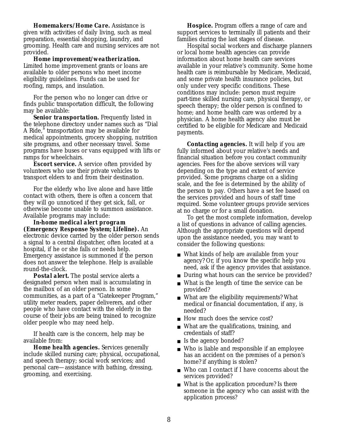*Homemakers/Home Care.* Assistance is given with activities of daily living, such as meal preparation, essential shopping, laundry, and grooming. Health care and nursing services are not provided.

*Home improvement/weatherization.* Limited home improvement grants or loans are available to older persons who meet income eligibility guidelines. Funds can be used for roofing, ramps, and insulation.

For the person who no longer can drive or finds public transportation difficult, the following may be available:

*Senior transportation.* Frequently listed in the telephone directory under names such as "Dial A Ride," transportation may be available for medical appointments, grocery shopping, nutrition site programs, and other necessary travel. Some programs have buses or vans equipped with lifts or ramps for wheelchairs.

*Escort service.* A service often provided by volunteers who use their private vehicles to transport elders to and from their destination.

For the elderly who live alone and have little contact with others, there is often a concern that they will go unnoticed if they get sick, fall, or otherwise become unable to summon assistance. Available programs may include:

*In-home medical alert program (Emergency Response System; Lifeline).* An electronic device carried by the older person sends a signal to a central dispatcher, often located at a hospital, if he or she falls or needs help. Emergency assistance is summoned if the person does not answer the telephone. Help is available round-the-clock.

*Postal alert.* The postal service alerts a designated person when mail is accumulating in the mailbox of an older person. In some communities, as a part of a "Gatekeeper Program," utility meter readers, paper deliverers, and other people who have contact with the elderly in the course of their jobs are being trained to recognize older people who may need help.

If health care is the concern, help may be available from:

*Home health agencies.* Services generally include skilled nursing care; physical, occupational, and speech therapy; social work services; and personal care—assistance with bathing, dressing, grooming, and exercising.

*Hospice.* Program offers a range of care and support services to terminally ill patients and their families during the last stages of disease.

Hospital social workers and discharge planners or local home health agencies can provide information about home health care services available in your relative's community. Some home health care is reimbursable by Medicare, Medicaid, and some private health insurance policies, but only under very specific conditions. These conditions may include: person must require part-time skilled nursing care, physical therapy, or speech therapy; the older person is confined to home; and home health care was ordered by a physician. A home health agency also must be certified to be eligible for Medicare and Medicaid payments.

*Contacting agencies.* It will help if you are fully informed about your relative's needs and financial situation before you contact community agencies. Fees for the above services will vary depending on the type and extent of service provided. Some programs charge on a sliding scale, and the fee is determined by the ability of the person to pay. Others have a set fee based on the services provided and hours of staff time required. Some volunteer groups provide services at no charge or for a small donation.

To get the most complete information, develop a list of questions in advance of calling agencies. Although the appropriate questions will depend upon the assistance needed, you may want to consider the following questions:

- What kinds of help are available from your agency? Or, if you know the specific help you need, ask if the agency provides that assistance.
- During what hours can the service be provided?
- What is the length of time the service can be provided?
- What are the eligibility requirements? What medical or financial documentation, if any, is needed?
- How much does the service cost?
- What are the qualifications, training, and credentials of staff?
- Is the agency bonded?
- Who is liable and responsible if an employee has an accident on the premises of a person's home? if anything is stolen?
- Who can I contact if I have concerns about the services provided?
- What is the application procedure? Is there someone in the agency who can assist with the application process?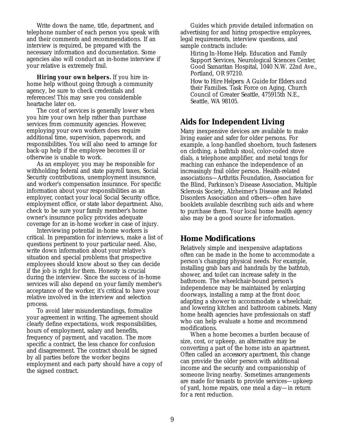Write down the name, title, department, and telephone number of each person you speak with and their comments and recommendations. If an interview is required, be prepared with the necessary information and documentation. Some agencies also will conduct an in-home interview if your relative is extremely frail.

*Hiring your own helpers.* If you hire inhome help without going through a community agency, be sure to check credentials and references! This may save you considerable heartache later on.

The cost of services is generally lower when you hire your own help rather than purchase services from community agencies. However, employing your own workers does require additional time, supervision, paperwork, and responsibilities. You will also need to arrange for back-up help if the employee becomes ill or otherwise is unable to work.

As an employer, you may be responsible for withholding federal and state payroll taxes, Social Security contributions, unemployment insurance, and worker's compensation insurance. For specific information about your responsibilities as an employer, contact your local Social Security office, employment office, or state labor department. Also, check to be sure your family member's home owner's insurance policy provides adequate coverage for an in-home worker in case of injury.

Interviewing potential in-home workers is critical. In preparation for interviews, make a list of questions pertinent to your particular need. Also, write down information about your relative's situation and special problems that prospective employees should know about so they can decide if the job is right for them. Honesty is crucial during the interview. Since the success of in-home services will also depend on your family member's acceptance of the worker, it's critical to have your relative involved in the interview and selection process.

To avoid later misunderstandings, formalize your agreement in writing. The agreement should clearly define expectations, work responsibilities, hours of employment, salary and benefits, frequency of payment, and vacation. The more specific a contract, the less chance for confusion and disagreement. The contract should be signed by all parties before the worker begins employment and each party should have a copy of the signed contract.

Guides which provide detailed information on advertising for and hiring prospective employees, legal requirements, interview questions, and sample contracts include:

*Hiring In-Home Help.* Education and Family Support Services, Neurological Sciences Center, Good Samaritan Hospital, 1040 N.W. 22nd Ave., Portland, OR 97210.

*How to Hire Helpers: A Guide for Elders and their Families.* Task Force on Aging, Church Council of Greater Seattle, 475915th N.E., Seattle, WA 98105.

### **Aids for Independent Living**

Many inexpensive devices are available to make living easier and safer for older persons. For example, a long-handled shoehorn, touch fasteners on clothing, a bathtub stool, color-coded stove dials, a telephone amplifier, and metal tongs for reaching can enhance the independence of an increasingly frail older person. Health-related associations—Arthritis Foundation, Association for the Blind, Parkinson's Disease Association, Multiple Sclerosis Society, Alzheimer's Disease and Related Disorders Association and others—often have booklets available describing such aids and where to purchase them. Your local home health agency also may be a good source for information.

### **Home Modifications**

Relatively simple and inexpensive adaptations often can be made in the home to accommodate a person's changing physical needs. For example, installing grab bars and handrails by the bathtub, shower, and toilet can increase safety in the bathroom. The wheelchair-bound person's independence may be maintained by enlarging doorways, installing a ramp at the front door, adapting a shower to accommodate a wheelchair, and lowering kitchen and bathroom cabinets. Many home health agencies have professionals on staff who can help evaluate a home and recommend modifications.

When a home becomes a burden because of size, cost, or upkeep, an alternative may be converting a part of the home into an apartment. Often called an *accessory apartment,* this change can provide the older person with additional income and the security and companionship of someone living nearby. Sometimes arrangements are made for tenants to provide services—upkeep of yard, home repairs, one meal a day—in return for a rent reduction.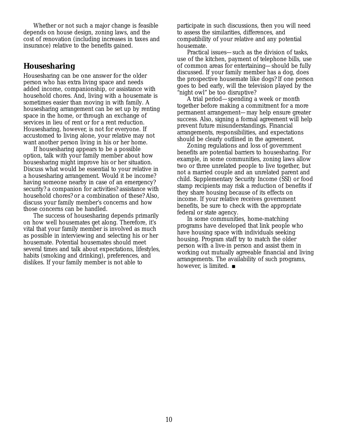Whether or not such a major change is feasible depends on house design, zoning laws, and the cost of renovation (including increases in taxes and insurance) relative to the benefits gained.

### **Housesharing**

Housesharing can be one answer for the older person who has extra living space and needs added income, companionship, or assistance with household chores. And, living with a housemate is sometimes easier than moving in with family. A housesharing arrangement can be set up by renting space in the home, or through an exchange of services in lieu of rent or for a rent reduction. Housesharing, however, is not for everyone. If accustomed to living alone, your relative may not want another person living in his or her home.

If housesharing appears to be a possible option, talk with your family member about how housesharing might improve his or her situation. Discuss what would be essential to your relative in a housesharing arrangement. Would it be income? having someone nearby in case of an emergency? security? a companion for activities? assistance with household chores? or a combination of these? Also, discuss your family member's concerns and how those concerns can be handled.

The success of housesharing depends primarily on how well housemates get along. Therefore, it's vital that your family member is involved as much as possible in interviewing and selecting his or her housemate. Potential housemates should meet several times and talk about expectations, lifestyles, habits (smoking and drinking), preferences, and dislikes. If your family member is not able to

participate in such discussions, then you will need to assess the similarities, differences, and compatibility of your relative and any potential housemate.

Practical issues—such as the division of tasks, use of the kitchen, payment of telephone bills, use of common areas for entertaining—should be fully discussed. If your family member has a dog, does the prospective housemate like dogs? If one person goes to bed early, will the television played by the "night owl" be too disruptive?

A trial period—spending a week or month together before making a commitment for a more permanent arrangement—may help ensure greater success. Also, signing a formal agreement will help prevent future misunderstandings. Financial arrangements, responsibilities, and expectations should be clearly outlined in the agreement.

Zoning regulations and loss of government benefits are potential barriers to housesharing. For example, in some communities, zoning laws allow two or three unrelated people to live together, but not a married couple and an unrelated parent and child. Supplementary Security Income (SSI) or food stamp recipients may risk a reduction of benefits if they share housing because of its effects on income. If your relative receives government benefits, be sure to check with the appropriate federal or state agency.

In some communities, home-matching programs have developed that link people who have housing space with individuals seeking housing. Program staff try to match the older person with a live-in person and assist them in working out mutually agreeable financial and living arrangements. The availability of such programs, however, is limited. ■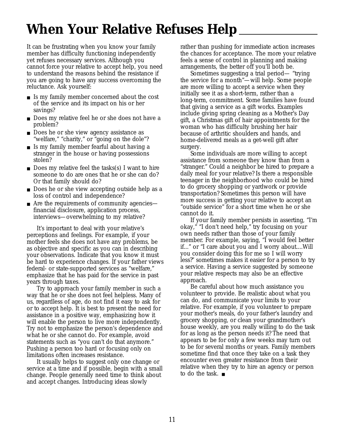### **When Your Relative Refuses Help**

It can be frustrating when you know your family member has difficulty functioning independently yet refuses necessary services. Although you cannot force your relative to accept help, you need to understand the reasons behind the resistance if you are going to have any success overcoming the reluctance. Ask yourself:

- Is my family member concerned about the cost of the service and its impact on his or her savings?
- Does my relative feel he or she does not have a problem?
- Does he or she view agency assistance as "welfare," "charity," or "going on the dole"?
- Is my family member fearful about having a stranger in the house or having possessions stolen?
- Does my relative feel the tasks(s) I want to hire someone to do are ones that he or she can do? Or that family should do?
- Does he or she view accepting outside help as a loss of control and independence?
- Are the requirements of community agencies financial disclosure, application process, interviews—overwhelming to my relative?

It's important to deal with your relative's perceptions and feelings. For example, if your mother feels she does not have any problems, be as objective and specific as you can in describing your observations. Indicate that you know it must be hard to experience changes. If your father views federal- or state-supported services as "welfare," emphasize that he has paid for the service in past years through taxes.

Try to approach your family member in such a way that he or she does not feel helpless. Many of us, regardless of age, do not find it easy to ask for or to accept help. It is best to present the need for assistance in a positive way, emphasizing how it will enable the person to live more independently. Try not to emphasize the person's dependence and what he or she cannot do. For example, avoid statements such as "you can't do that anymore." Pushing a person too hard or focusing only on limitations often increases resistance.

It usually helps to suggest only one change or service at a time and if possible, begin with a small change. People generally need time to think about and accept changes. Introducing ideas slowly

rather than pushing for immediate action increases the chances for acceptance. The more your relative feels a sense of control in planning and making arrangements, the better off you'll both be.

Sometimes suggesting a trial period— "trying the service for a month"—will help. Some people are more willing to accept a service when they initially see it as a short-term, rather than a long-term, commitment. Some families have found that giving a service as a gift works. Examples include giving spring cleaning as a Mother's Day gift, a Christmas gift of hair appointments for the woman who has difficulty brushing her hair because of arthritic shoulders and hands, and home-delivered meals as a get-well gift after surgery.

Some individuals are more willing to accept assistance from someone they know than from a "stranger." Could a neighbor be hired to prepare a daily meal for your relative? Is there a responsible teenager in the neighborhood who could be hired to do grocery shopping or yardwork or provide transportation? Sometimes this person will have more success in getting your relative to accept an "outside service" for a short time when he or she cannot do it.

If your family member persists in asserting, "I'm okay," "I don't need help," try focusing on your own needs rather than those of your family member. For example, saying, "I would feel better if..." or "I care about you and I worry about....Will you consider doing this for me so I will worry less?" sometimes makes it easier for a person to try a service. Having a service suggested by someone your relative respects may also be an effective approach.

Be careful about how much assistance you volunteer to provide. Be realistic about what you can do, and communicate your limits to your relative. For example, if you volunteer to prepare your mother's meals, do your father's laundry and grocery shopping, or clean your grandmother's house weekly, are you really willing to do the task for as long as the person needs it? The need that appears to be for only a few weeks may turn out to be for several months or years. Family members sometime find that once they take on a task they encounter even greater resistance from their relative when they try to hire an agency or person to do the task. ■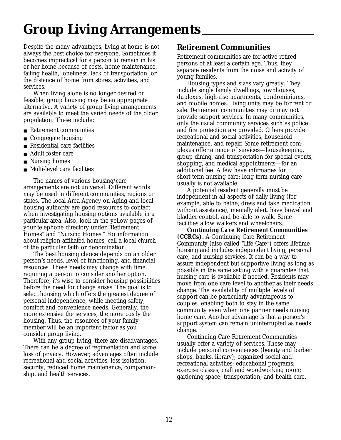### **Group Living Arrangements**

Despite the many advantages, living at home is not always the best choice for everyone. Sometimes it becomes impractical for a person to remain in his or her home because of costs, home maintenance, failing health, loneliness, lack of transportation, or the distance of home from stores, activities, and services.

When living alone is no longer desired or feasible, group housing may be an appropriate alternative. A variety of group living arrangements are available to meet the varied needs of the older population. These include:

- Retirement communities
- Congregate housing
- Residential care facilities
- Adult foster care
- Nursing homes
- Multi-level care facilities

The names of various housing/care arrangements are not universal. Different words may be used in different communities, regions or states. The local Area Agency on Aging and local housing authority are good resources to contact when investigating housing options available in a particular area. Also, look in the yellow pages of your telephone directory under "Retirement Homes" and "Nursing Homes." For information about religion-affiliated homes, call a local church of the particular faith or denomination.

The best housing choice depends on an older person's needs, level of functioning, and financial resources. These needs may change with time, requiring a person to consider another option. Therefore, it's wise to consider housing possibilities before the need for change arises. The goal is to select housing which offers the greatest degree of personal independence, while meeting safety, comfort and convenience needs. Generally, the more extensive the services, the more costly the housing. Thus, the resources of your family member will be an important factor as you consider group living.

With any group living, there are disadvantages. There can be a degree of regimentation and some loss of privacy. However, advantages often include recreational and social activities, less isolation, security, reduced home maintenance, companionship, and health services.

### **Retirement Communities**

Retirement communities are for active retired persons of at least a certain age. Thus, they separate residents from the noise and activity of young families.

Housing types and sizes vary greatly. They include single family dwellings, townhouses, duplexes, high-rise apartments, condominiums, and mobile homes. Living units may be for rent or sale. Retirement communities may or may not provide support services. In many communities, only the usual community services such as police and fire protection are provided. Others provide recreational and social activities, household maintenance, and repair. Some retirement complexes offer a range of services—housekeeping, group dining, and transportation for special events, shopping, and medical appointments—for an additional fee. A few have infirmaries for short-term nursing care; long-term nursing care usually is not available.

A potential resident generally must be independent in all aspects of daily living (for example, able to bathe, dress and take medication without assistance), mentally alert, have bowel and bladder control, and be able to walk. Some facilities allow walkers and wheelchairs.

*Continuing Care Retirement Communities (CCRCs).* A Continuing Care Retirement Community (also called "Life Care") offers lifetime housing and includes independent living, personal care, and nursing services. It can be a way to assure independent but supportive living as long as possible in the same setting with a guarantee that nursing care is available if needed. Residents may move from one care level to another as their needs change. The availability of multiple levels of support can be particularly advantageous to couples, enabling both to stay in the same community even when one partner needs nursing home care. Another advantage is that a person's support system can remain uninterrupted as needs change.

Continuing Care Retirement Communities usually offer a variety of services. These may include personal conveniences (beauty and barber shops, banks, library); organized social and recreational activities; educational programs; exercise classes; craft and woodworking room; gardening space; transportation; and health care.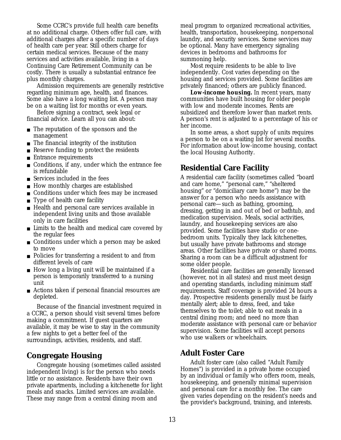Some CCRC's provide full health care benefits at no additional charge. Others offer full care, with additional charges after a specific number of days of health care per year. Still others charge for certain medical services. Because of the many services and activities available, living in a Continuing Care Retirement Community can be costly. There is usually a substantial entrance fee plus monthly charges.

Admission requirements are generally restrictive regarding minimum age, health, and finances. Some also have a long waiting list. A person may be on a waiting list for months or even years.

Before signing a contract, seek legal or financial advice. Learn all you can about:

- The reputation of the sponsors and the management
- The financial integrity of the institution
- Reserve funding to protect the residents
- Entrance requirements
- Conditions, if any, under which the entrance fee is refundable
- Services included in the fees
- How monthly charges are established
- Conditions under which fees may be increased
- Type of health care facility
- Health and personal care services available in independent living units and those available only in care facilities
- Limits to the health and medical care covered by the regular fees
- Conditions under which a person may be asked to move
- Policies for transferring a resident to and from different levels of care
- How long a living unit will be maintained if a person is temporarily transferred to a nursing unit
- Actions taken if personal financial resources are depleted.

Because of the financial investment required in a CCRC, a person should visit several times before making a commitment. If guest quarters are available, it may be wise to stay in the community a few nights to get a better feel of the surroundings, activities, residents, and staff.

### **Congregate Housing**

Congregate housing (sometimes called assisted independent living) is for the person who needs little or no assistance. Residents have their own private apartments, including a kitchenette for light meals and snacks. Limited services are available. These may range from a central dining room and

meal program to organized recreational activities, health, transportation, housekeeping, nonpersonal laundry, and security services. Some services may be optional. Many have emergency signaling devices in bedrooms and bathrooms for summoning help.

Most require residents to be able to live independently. Cost varies depending on the housing and services provided. Some facilities are privately financed; others are publicly financed.

*Low-income housing.* In recent years, many communities have built housing for older people with low and moderate incomes. Rents are subsidized and therefore lower than market rents. A person's rent is adjusted to a percentage of his or her income.

In some areas, a short supply of units requires a person to be on a waiting list for several months. For information about low-income housing, contact the local Housing Authority.

### **Residential Care Facility**

A residential care facility (sometimes called "board and care home," "personal care," "sheltered housing" or "domiciliary care home") may be the answer for a person who needs assistance with personal care—such as bathing, grooming, dressing, getting in and out of bed or bathtub, and medication supervision. Meals, social activities, laundry, and housekeeping services are also provided. Some facilities have studio or onebedroom units. Typically they lack kitchenettes, but usually have private bathrooms and storage areas. Other facilities have private or shared rooms. Sharing a room can be a difficult adjustment for some older people.

Residential care facilities are generally licensed (however, not in all states) and must meet design and operating standards, including minimum staff requirements. Staff coverage is provided 24 hours a day. Prospective residents generally must be fairly mentally alert; able to dress, feed, and take themselves to the toilet; able to eat meals in a central dining room; and need no more than moderate assistance with personal care or behavior supervision. Some facilities will accept persons who use walkers or wheelchairs.

### **Adult Foster Care**

Adult foster care (also called "Adult Family Homes") is provided in a private home occupied by an individual or family who offers room, meals, housekeeping, and generally minimal supervision and personal care for a monthly fee. The care given varies depending on the resident's needs and the provider's background, training, and interests.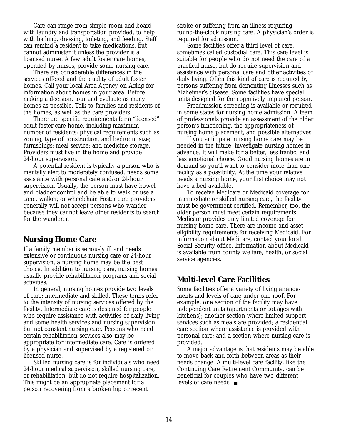Care can range from simple room and board with laundry and transportation provided, to help with bathing, dressing, toileting, and feeding. Staff can remind a resident to take medications, but cannot administer it unless the provider is a licensed nurse. A few adult foster care homes, operated by nurses, provide some nursing care.

There are considerable differences in the services offered and the quality of adult foster homes. Call your local Area Agency on Aging for information about homes in your area. Before making a decision, tour and evaluate as many homes as possible. Talk to families and residents of the homes, as well as the care providers.

There are specific requirements for a "licensed" adult foster care home, including maximum number of residents; physical requirements such as zoning, type of construction, and bedroom size; furnishings; meal service; and medicine storage. Providers must live in the home and provide 24-hour supervision.

A potential resident is typically a person who is mentally alert to moderately confused, needs some assistance with personal care and/or 24-hour supervision. Usually, the person must have bowel and bladder control and be able to walk or use a cane, walker, or wheelchair. Foster care providers generally will not accept persons who wander because they cannot leave other residents to search for the wanderer.

### **Nursing Home Care**

If a family member is seriously ill and needs extensive or continuous nursing care or 24-hour supervision, a nursing home may be the best choice. In addition to nursing care, nursing homes usually provide rehabilitation programs and social activities.

In general, nursing homes provide two levels of care: intermediate and skilled. These terms refer to the intensity of nursing services offered by the facility. Intermediate care is designed for people who require assistance with activities of daily living and some health services and nursing supervision, but not constant nursing care. Persons who need certain rehabilitation services also may be appropriate for intermediate care. Care is ordered by a physician and supervised by a registered or licensed nurse.

Skilled nursing care is for individuals who need 24-hour medical supervision, skilled nursing care, or rehabilitation, but do not require hospitalization. This might be an appropriate placement for a person recovering from a broken hip or recent

stroke or suffering from an illness requiring round-the-clock nursing care. A physician's order is required for admission.

Some facilities offer a third level of care, sometimes called custodial care. This care level is suitable for people who do not need the care of a practical nurse, but do require supervision and assistance with personal care and other activities of daily living. Often this kind of care is required by persons suffering from dementing illnesses such as Alzheimer's disease. Some facilities have special units designed for the cognitively impaired person.

Preadmission screening is available or required in some states for nursing home admission. A team of professionals provide an assessment of the older person's functioning, the appropriateness of nursing home placement, and possible alternatives.

If you anticipate nursing home care may be needed in the future, investigate nursing homes in advance. It will make for a better, less frantic, and less emotional choice. Good nursing homes are in demand so you'll want to consider more than one facility as a possibility. At the time your relative needs a nursing home, your first choice may not have a bed available.

To receive Medicare or Medicaid coverage for intermediate or skilled nursing care, the facility must be government certified. Remember, too, the older person must meet certain requirements. Medicare provides only limited coverage for nursing home care. There are income and asset eligibility requirements for receiving Medicaid. For information about Medicare, contact your local Social Security office. Information about Medicaid is available from county welfare, health, or social service agencies.

### **Multi-level Care Facilities**

Some facilities offer a variety of living arrangements and levels of care under one roof. For example, one section of the facility may have independent units (apartments or cottages with kitchens); another section where limited support services such as meals are provided; a residential care section where assistance is provided with personal care; and a section where nursing care is provided.

A major advantage is that residents may be able to move back and forth between areas as their needs change. A multi-level care facility, like the Continuing Care Retirement Community, can be beneficial for couples who have two different levels of care needs. ■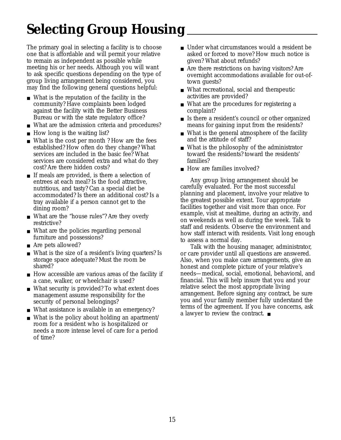# **Selecting Group Housing**

The primary goal in selecting a facility is to choose one that is affordable and will permit your relative to remain as independent as possible while meeting his or her needs. Although you will want to ask specific questions depending on the type of group living arrangement being considered, you may find the following general questions helpful:

- What is the reputation of the facility in the community? Have complaints been lodged against the facility with the Better Business Bureau or with the state regulatory office?
- What are the admission criteria and procedures?
- How long is the waiting list?
- What is the cost per month? How are the fees established? How often do they change? What services are included in the basic fee? What services are considered extra and what do they cost? Are there hidden costs?
- If meals are provided, is there a selection of entrees at each meal? Is the food attractive, nutritious, and tasty? Can a special diet be accommodated? Is there an additional cost? Is a tray available if a person cannot get to the dining room?
- What are the "house rules"? Are they overly restrictive?
- What are the policies regarding personal furniture and possessions?
- Are pets allowed?
- What is the size of a resident's living quarters? Is storage space adequate? Must the room be shared?
- How accessible are various areas of the facility if a cane, walker, or wheelchair is used?
- What security is provided? To what extent does management assume responsibility for the security of personal belongings?
- What assistance is available in an emergency?
- What is the policy about holding an apartment/ room for a resident who is hospitalized or needs a more intense level of care for a period of time?
- Under what circumstances would a resident be asked or forced to move? How much notice is given? What about refunds?
- Are there restrictions on having visitors? Are overnight accommodations available for out-oftown guests?
- What recreational, social and therapeutic activities are provided?
- What are the procedures for registering a complaint?
- Is there a resident's council or other organized means for gaining input from the residents?
- What is the general atmosphere of the facility and the attitude of staff?
- What is the philosophy of the administrator toward the residents? toward the residents' families?
- How are families involved?

Any group living arrangement should be carefully evaluated. For the most successful planning and placement, involve your relative to the greatest possible extent. Tour appropriate facilities together and visit more than once. For example, visit at mealtime, during an activity, and on weekends as well as during the week. Talk to staff and residents. Observe the environment and how staff interact with residents. Visit long enough to assess a normal day.

Talk with the housing manager, administrator, or care provider until all questions are answered. Also, when you make care arrangements, give an honest and complete picture of your relative's needs—medical, social, emotional, behavioral, and financial. This will help insure that you and your relative select the most appropriate living arrangement. Before signing any contract, be sure you and your family member fully understand the terms of the agreement. If you have concerns, ask a lawyer to review the contract. ■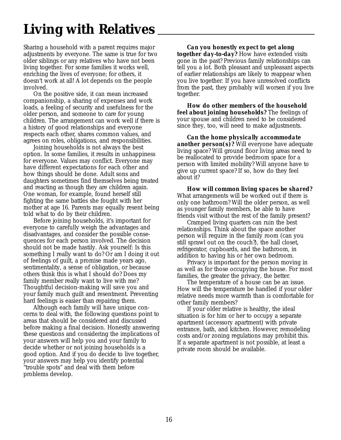# **Living with Relatives**

Sharing a household with a parent requires major adjustments by everyone. The same is true for two older siblings or any relatives who have not been living together. For some families it works well, enriching the lives of everyone; for others, it doesn't work at all! A lot depends on the people involved.

On the positive side, it can mean increased companionship, a sharing of expenses and work loads, a feeling of security and usefulness for the older person, and someone to care for young children. The arrangement can work well if there is a history of good relationships and everyone respects each other, shares common values, and agrees on roles, obligations, and responsibilities.

Joining households is not always the best option. In some families, it results in unhappiness for everyone. Values may conflict. Everyone may have different expectations for each other and how things should be done. Adult sons and daughters sometimes find themselves being treated and reacting as though they are children again. One woman, for example, found herself still fighting the same battles she fought with her mother at age 16. Parents may equally resent being told what to do by their children.

Before joining households, it's important for everyone to carefully weigh the advantages and disadvantages, and consider the possible consequences for each person involved. The decision should not be made hastily. Ask yourself: Is this something I really want to do? Or am I doing it out of feelings of guilt, a promise made years ago, sentimentality, a sense of obligation, or because others think this is what I should do? Does my family member really want to live with me? Thoughtful decision-making will save you and your family much guilt and resentment. Preventing hard feelings is easier than repairing them.

Although each family will have unique concerns to deal with, the following questions point to areas that should be considered and discussed before making a final decision. Honestly answering these questions and considering the implications of your answers will help you and your family to decide whether or not joining households is a good option. And if you do decide to live together, your answers may help you identify potential "trouble spots" and deal with them before problems develop.

*Can you honestly expect to get along together day-to-day?* How have extended visits gone in the past? Previous family relationships can tell you a lot. Both pleasant and unpleasant aspects of earlier relationships are likely to reappear when you live together. If you have unresolved conflicts from the past, they probably will worsen if you live together.

*How do other members of the household feel about joining households?* The feelings of your spouse and children need to be considered since they, too, will need to make adjustments.

*Can the home physically accommodate another person(s)?* Will everyone have adequate living space? Will ground floor living areas need to be reallocated to provide bedroom space for a person with limited mobility? Will anyone have to give up current space? If so, how do they feel about it?

*How will common living spaces be shared?* What arrangements will be worked out if there is only one bathroom? Will the older person, as well as younger family members, be able to have friends visit without the rest of the family present?

Cramped living quarters can ruin the best relationships. Think about the space another person will require in the family room (can you still sprawl out on the couch?), the hall closet, refrigerator, cupboards, and the bathroom, in addition to having his or her own bedroom.

Privacy is important for the person moving in as well as for those occupying the house. For most families, the greater the privacy, the better.

The temperature of a house can be an issue. How will the temperature be handled if your older relative needs more warmth than is comfortable for other family members?

If your older relative is healthy, the ideal situation is for him or her to occupy a separate apartment (accessory apartment) with private entrance, bath, and kitchen. However, remodeling costs and/or zoning regulations may prohibit this. If a separate apartment is not possible, at least a private room should be available.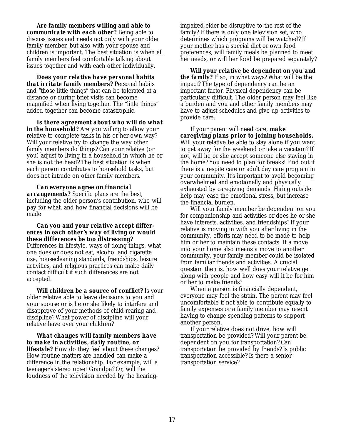*Are family members willing and able to communicate with each other?* Being able to discuss issues and needs not only with your older family member, but also with your spouse and children is important. The best situation is when all family members feel comfortable talking about issues together and with each other individually.

*Does your relative have personal habits that irritate family members?* Personal habits and "those little things" that can be tolerated at a distance or during brief visits can become magnified when living together. The "little things" added together can become catastrophic.

*Is there agreement about who will do what* in the household? Are you willing to allow your relative to complete tasks in his or her own way? Will your relative try to change the way other family members do things? Can your relative (or you) adjust to living in a household in which he or she is not the head? The best situation is when each person contributes to household tasks, but does not intrude on other family members.

*Can everyone agree on financial arrangements?* Specific plans are the best, including the older person's contribution, who will pay for what, and how financial decisions will be made.

#### *Can you and your relative accept differences in each other's way of living or would these differences be too distressing?*

Differences in lifestyle, ways of doing things, what one does or does not eat, alcohol and cigarette use, housecleaning standards, friendships, leisure activities, and religious practices can make daily contact difficult if such differences are not accepted.

*Will children be a source of conflict?* Is your older relative able to leave decisions to you and your spouse or is he or she likely to interfere and disapprove of your methods of child-rearing and discipline? What power of discipline will your relative have over your children?

*What changes will family members have to make in activities, daily routine, or lifestyle?* How do they feel about these changes?

How routine matters are handled can make a difference in the relationship. For example, will a teenager's stereo upset Grandpa? Or, will the loudness of the television needed by the hearing-

impaired elder be disruptive to the rest of the family? If there is only one television set, who determines which programs will be watched? If your mother has a special diet or own food preferences, will family meals be planned to meet her needs, or will her food be prepared separately?

*Will your relative be dependent on you and the family?* If so, in what ways? What will be the impact? The type of dependency can be an important factor. Physical dependency can be particularly difficult. The older person may feel like a burden and you and other family members may have to adjust schedules and give up activities to provide care.

If your parent will need care, *make caregiving plans prior to joining households.* Will your relative be able to stay alone if you want to get away for the weekend or take a vacation? If not, will he or she accept someone else staying in the home? You need to plan for breaks! Find out if there is a respite care or adult day care program in your community. It's important to avoid becoming overwhelmed and emotionally and physically exhausted by caregiving demands. Hiring outside help may ease the emotional stress, but increase the financial burden.

Will your family member be dependent on you for companionship and activities or does he or she have interests, activities, and friendships? If your relative is moving in with you after living in the community, efforts may need to be made to help him or her to maintain these contacts. If a move into your home also means a move to another community, your family member could be isolated from familiar friends and activities. A crucial question then is, how well does your relative get along with people and how easy will it be for him or her to make friends?

When a person is financially dependent, everyone may feel the strain. The parent may feel uncomfortable if not able to contribute equally to family expenses or a family member may resent having to change spending patterns to support another person.

If your relative does not drive, how will transportation be provided? Will your parent be dependent on you for transportation? Can transportation be provided by friends? Is public transportation accessible? Is there a senior transportation service?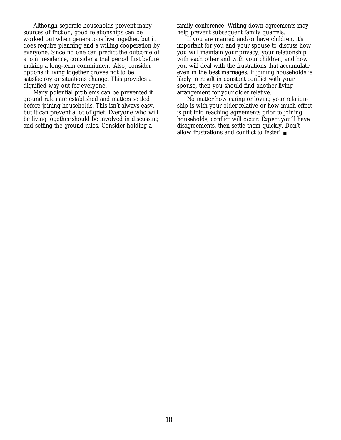Although separate households prevent many sources of friction, good relationships can be worked out when generations live together, but it does require planning and a willing cooperation by everyone. Since no one can predict the outcome of a joint residence, consider a trial period first before making a long-term commitment. Also, consider options if living together proves not to be satisfactory or situations change. This provides a dignified way out for everyone.

Many potential problems can be prevented if ground rules are established and matters settled before joining households. This isn't always easy, but it can prevent a lot of grief. Everyone who will be living together should be involved in discussing and setting the ground rules. Consider holding a

family conference. Writing down agreements may help prevent subsequent family quarrels.

If you are married and/or have children, it's important for you and your spouse to discuss how you will maintain your privacy, your relationship with each other and with your children, and how you will deal with the frustrations that accumulate even in the best marriages. If joining households is likely to result in constant conflict with your spouse, then you should find another living arrangement for your older relative.

No matter how caring or loving your relationship is with your older relative or how much effort is put into reaching agreements prior to joining households, conflict will occur. Expect you'll have disagreements, then settle them quickly. Don't allow frustrations and conflict to fester! ■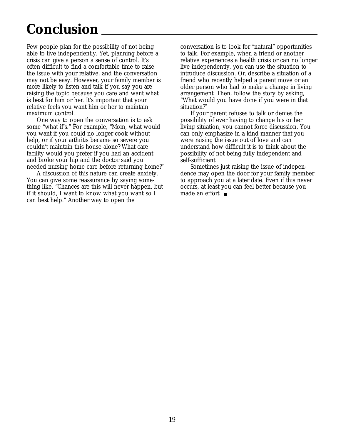## **Conclusion**

Few people plan for the possibility of not being able to live independently. Yet, planning before a crisis can give a person a sense of control. It's often difficult to find a comfortable time to raise the issue with your relative, and the conversation may not be easy. However, your family member is more likely to listen and talk if you say you are raising the topic because you care and want what is best for him or her. It's important that your relative feels you want him or her to maintain maximum control.

One way to open the conversation is to ask some "what if's." For example, "Mom, what would you want if you could no longer cook without help, or if your arthritis became so severe you couldn't maintain this house alone? What care facility would you prefer if you had an accident and broke your hip and the doctor said you needed nursing home care before returning home?"

A discussion of this nature can create anxiety. You can give some reassurance by saying something like, "Chances are this will never happen, but if it should, I want to know what you want so I can best help." Another way to open the

conversation is to look for "natural" opportunities to talk. For example, when a friend or another relative experiences a health crisis or can no longer live independently, you can use the situation to introduce discussion. Or, describe a situation of a friend who recently helped a parent move or an older person who had to make a change in living arrangement. Then, follow the story by asking, "What would you have done if you were in that situation?"

If your parent refuses to talk or denies the possibility of ever having to change his or her living situation, you cannot force discussion. You can only emphasize in a kind manner that you were raising the issue out of love and can understand how difficult it is to think about the possibility of not being fully independent and self-sufficient.

Sometimes just raising the issue of independence may open the door for your family member to approach you at a later date. Even if this never occurs, at least you can feel better because you made an effort. ■